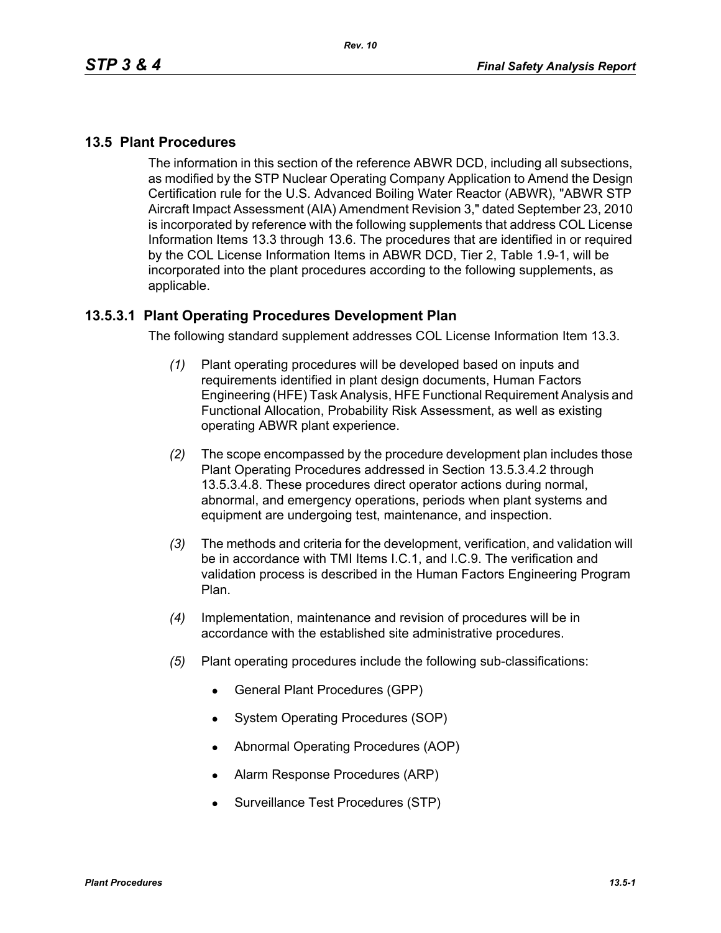# **13.5 Plant Procedures**

The information in this section of the reference ABWR DCD, including all subsections, as modified by the STP Nuclear Operating Company Application to Amend the Design Certification rule for the U.S. Advanced Boiling Water Reactor (ABWR), "ABWR STP Aircraft Impact Assessment (AIA) Amendment Revision 3," dated September 23, 2010 is incorporated by reference with the following supplements that address COL License Information Items 13.3 through 13.6. The procedures that are identified in or required by the COL License Information Items in ABWR DCD, Tier 2, Table 1.9-1, will be incorporated into the plant procedures according to the following supplements, as applicable.

### **13.5.3.1 Plant Operating Procedures Development Plan**

The following standard supplement addresses COL License Information Item 13.3.

- *(1)* Plant operating procedures will be developed based on inputs and requirements identified in plant design documents, Human Factors Engineering (HFE) Task Analysis, HFE Functional Requirement Analysis and Functional Allocation, Probability Risk Assessment, as well as existing operating ABWR plant experience.
- *(2)* The scope encompassed by the procedure development plan includes those Plant Operating Procedures addressed in Section 13.5.3.4.2 through 13.5.3.4.8. These procedures direct operator actions during normal, abnormal, and emergency operations, periods when plant systems and equipment are undergoing test, maintenance, and inspection.
- *(3)* The methods and criteria for the development, verification, and validation will be in accordance with TMI Items I.C.1, and I.C.9. The verification and validation process is described in the Human Factors Engineering Program Plan.
- *(4)* Implementation, maintenance and revision of procedures will be in accordance with the established site administrative procedures.
- *(5)* Plant operating procedures include the following sub-classifications:
	- General Plant Procedures (GPP)
	- System Operating Procedures (SOP)
	- Abnormal Operating Procedures (AOP)
	- Alarm Response Procedures (ARP)
	- Surveillance Test Procedures (STP)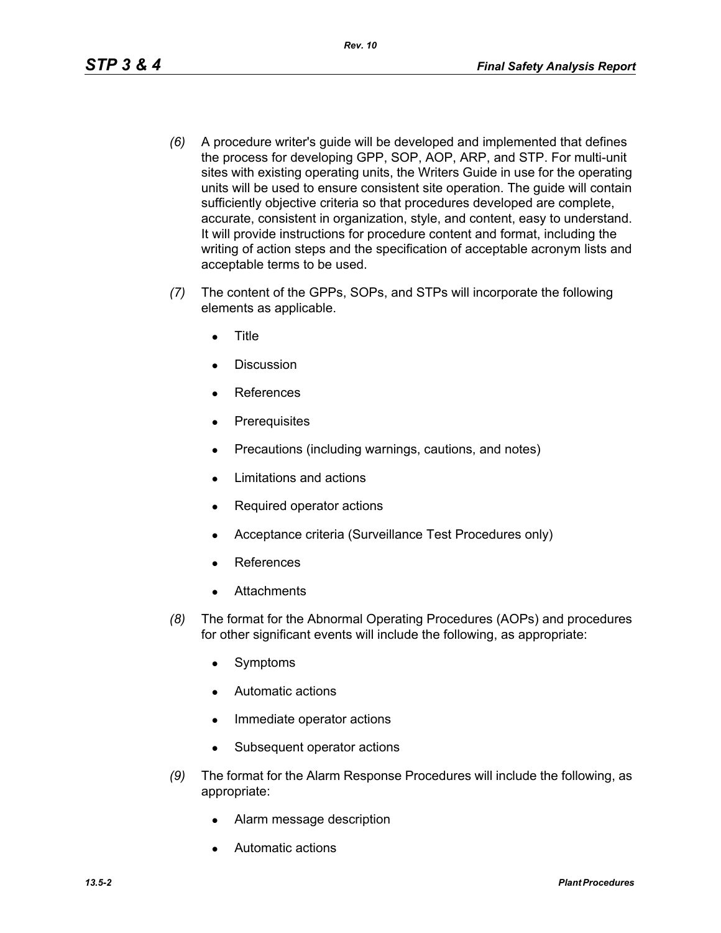- *(6)* A procedure writer's guide will be developed and implemented that defines the process for developing GPP, SOP, AOP, ARP, and STP. For multi-unit sites with existing operating units, the Writers Guide in use for the operating units will be used to ensure consistent site operation. The guide will contain sufficiently objective criteria so that procedures developed are complete, accurate, consistent in organization, style, and content, easy to understand. It will provide instructions for procedure content and format, including the writing of action steps and the specification of acceptable acronym lists and acceptable terms to be used.
- *(7)* The content of the GPPs, SOPs, and STPs will incorporate the following elements as applicable.
	- **Title**
	- Discussion
	- **References**
	- Prerequisites
	- Precautions (including warnings, cautions, and notes)
	- Limitations and actions
	- Required operator actions
	- Acceptance criteria (Surveillance Test Procedures only)
	- **References**
	- **Attachments**
- *(8)* The format for the Abnormal Operating Procedures (AOPs) and procedures for other significant events will include the following, as appropriate:
	- Symptoms
	- Automatic actions
	- Immediate operator actions
	- Subsequent operator actions
- *(9)* The format for the Alarm Response Procedures will include the following, as appropriate:
	- Alarm message description
	- Automatic actions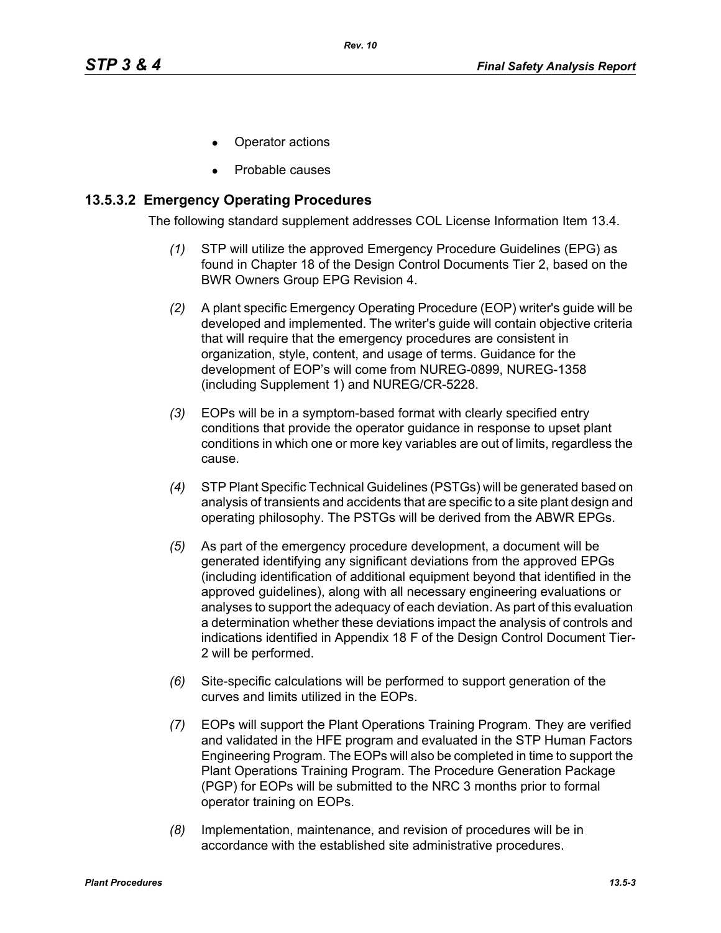- Operator actions
- Probable causes

### **13.5.3.2 Emergency Operating Procedures**

The following standard supplement addresses COL License Information Item 13.4.

- *(1)* STP will utilize the approved Emergency Procedure Guidelines (EPG) as found in Chapter 18 of the Design Control Documents Tier 2, based on the BWR Owners Group EPG Revision 4.
- *(2)* A plant specific Emergency Operating Procedure (EOP) writer's guide will be developed and implemented. The writer's guide will contain objective criteria that will require that the emergency procedures are consistent in organization, style, content, and usage of terms. Guidance for the development of EOP's will come from NUREG-0899, NUREG-1358 (including Supplement 1) and NUREG/CR-5228.
- *(3)* EOPs will be in a symptom-based format with clearly specified entry conditions that provide the operator guidance in response to upset plant conditions in which one or more key variables are out of limits, regardless the cause.
- *(4)* STP Plant Specific Technical Guidelines (PSTGs) will be generated based on analysis of transients and accidents that are specific to a site plant design and operating philosophy. The PSTGs will be derived from the ABWR EPGs.
- *(5)* As part of the emergency procedure development, a document will be generated identifying any significant deviations from the approved EPGs (including identification of additional equipment beyond that identified in the approved guidelines), along with all necessary engineering evaluations or analyses to support the adequacy of each deviation. As part of this evaluation a determination whether these deviations impact the analysis of controls and indications identified in Appendix 18 F of the Design Control Document Tier-2 will be performed.
- *(6)* Site-specific calculations will be performed to support generation of the curves and limits utilized in the EOPs.
- *(7)* EOPs will support the Plant Operations Training Program. They are verified and validated in the HFE program and evaluated in the STP Human Factors Engineering Program. The EOPs will also be completed in time to support the Plant Operations Training Program. The Procedure Generation Package (PGP) for EOPs will be submitted to the NRC 3 months prior to formal operator training on EOPs.
- *(8)* Implementation, maintenance, and revision of procedures will be in accordance with the established site administrative procedures.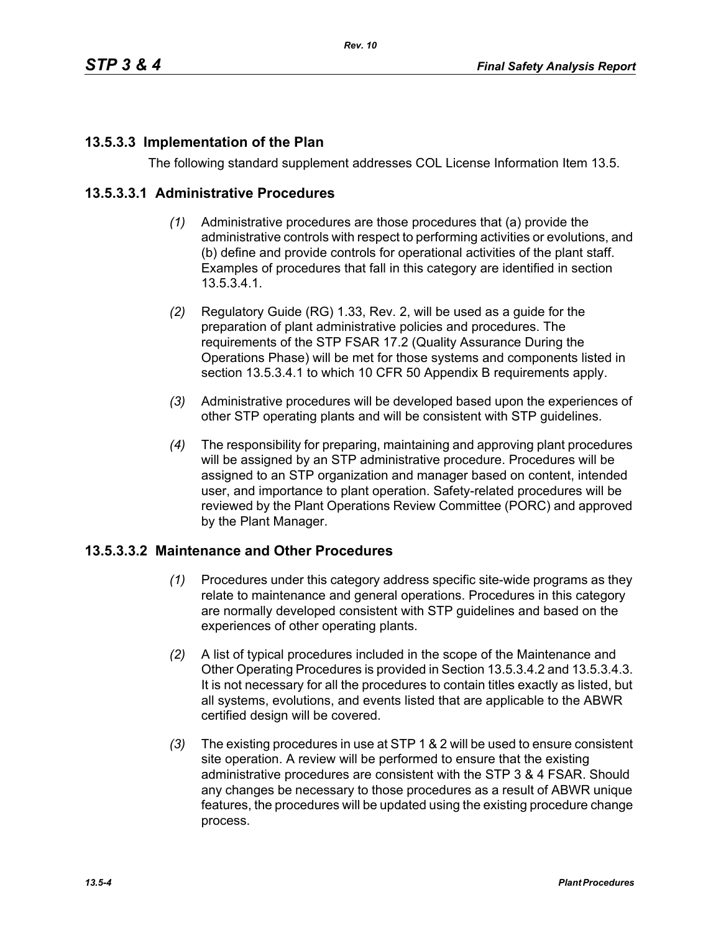# **13.5.3.3 Implementation of the Plan**

The following standard supplement addresses COL License Information Item 13.5.

#### **13.5.3.3.1 Administrative Procedures**

- *(1)* Administrative procedures are those procedures that (a) provide the administrative controls with respect to performing activities or evolutions, and (b) define and provide controls for operational activities of the plant staff. Examples of procedures that fall in this category are identified in section 13.5.3.4.1.
- *(2)* Regulatory Guide (RG) 1.33, Rev. 2, will be used as a guide for the preparation of plant administrative policies and procedures. The requirements of the STP FSAR 17.2 (Quality Assurance During the Operations Phase) will be met for those systems and components listed in section 13.5.3.4.1 to which 10 CFR 50 Appendix B requirements apply.
- *(3)* Administrative procedures will be developed based upon the experiences of other STP operating plants and will be consistent with STP guidelines.
- *(4)* The responsibility for preparing, maintaining and approving plant procedures will be assigned by an STP administrative procedure. Procedures will be assigned to an STP organization and manager based on content, intended user, and importance to plant operation. Safety-related procedures will be reviewed by the Plant Operations Review Committee (PORC) and approved by the Plant Manager.

#### **13.5.3.3.2 Maintenance and Other Procedures**

- *(1)* Procedures under this category address specific site-wide programs as they relate to maintenance and general operations. Procedures in this category are normally developed consistent with STP guidelines and based on the experiences of other operating plants.
- *(2)* A list of typical procedures included in the scope of the Maintenance and Other Operating Procedures is provided in Section 13.5.3.4.2 and 13.5.3.4.3. It is not necessary for all the procedures to contain titles exactly as listed, but all systems, evolutions, and events listed that are applicable to the ABWR certified design will be covered.
- *(3)* The existing procedures in use at STP 1 & 2 will be used to ensure consistent site operation. A review will be performed to ensure that the existing administrative procedures are consistent with the STP 3 & 4 FSAR. Should any changes be necessary to those procedures as a result of ABWR unique features, the procedures will be updated using the existing procedure change process.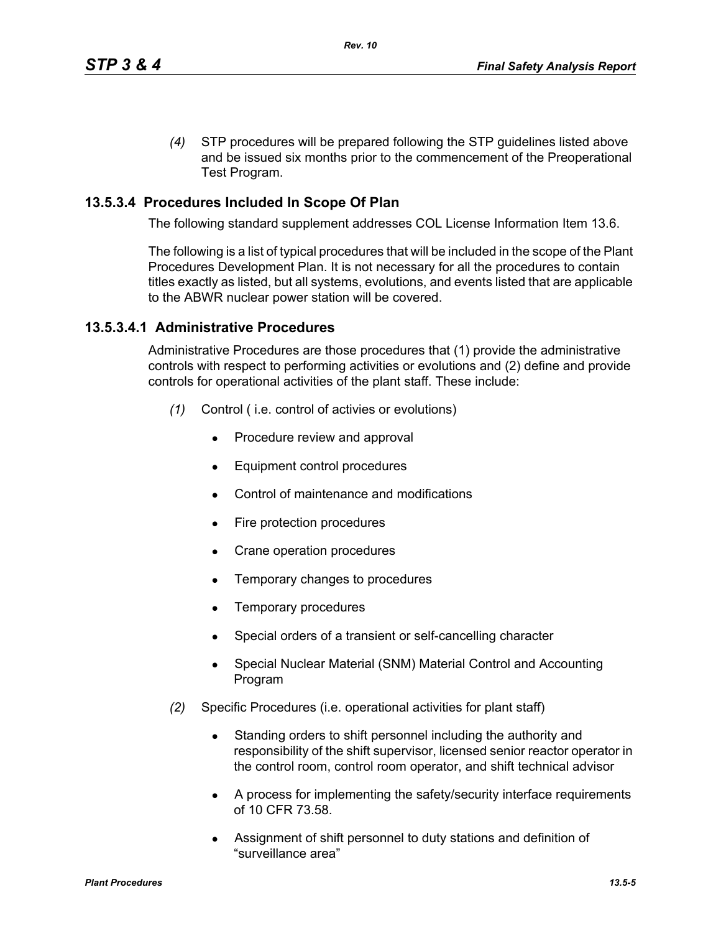*(4)* STP procedures will be prepared following the STP guidelines listed above and be issued six months prior to the commencement of the Preoperational Test Program.

# **13.5.3.4 Procedures Included In Scope Of Plan**

The following standard supplement addresses COL License Information Item 13.6.

The following is a list of typical procedures that will be included in the scope of the Plant Procedures Development Plan. It is not necessary for all the procedures to contain titles exactly as listed, but all systems, evolutions, and events listed that are applicable to the ABWR nuclear power station will be covered.

### **13.5.3.4.1 Administrative Procedures**

Administrative Procedures are those procedures that (1) provide the administrative controls with respect to performing activities or evolutions and (2) define and provide controls for operational activities of the plant staff. These include:

- *(1)* Control ( i.e. control of activies or evolutions)
	- Procedure review and approval
	- Equipment control procedures
	- Control of maintenance and modifications
	- $\bullet$  Fire protection procedures
	- Crane operation procedures
	- Temporary changes to procedures
	- $\bullet$  Temporary procedures
	- Special orders of a transient or self-cancelling character
	- Special Nuclear Material (SNM) Material Control and Accounting Program
- *(2)* Specific Procedures (i.e. operational activities for plant staff)
	- Standing orders to shift personnel including the authority and responsibility of the shift supervisor, licensed senior reactor operator in the control room, control room operator, and shift technical advisor
	- A process for implementing the safety/security interface requirements of 10 CFR 73.58.
	- Assignment of shift personnel to duty stations and definition of "surveillance area"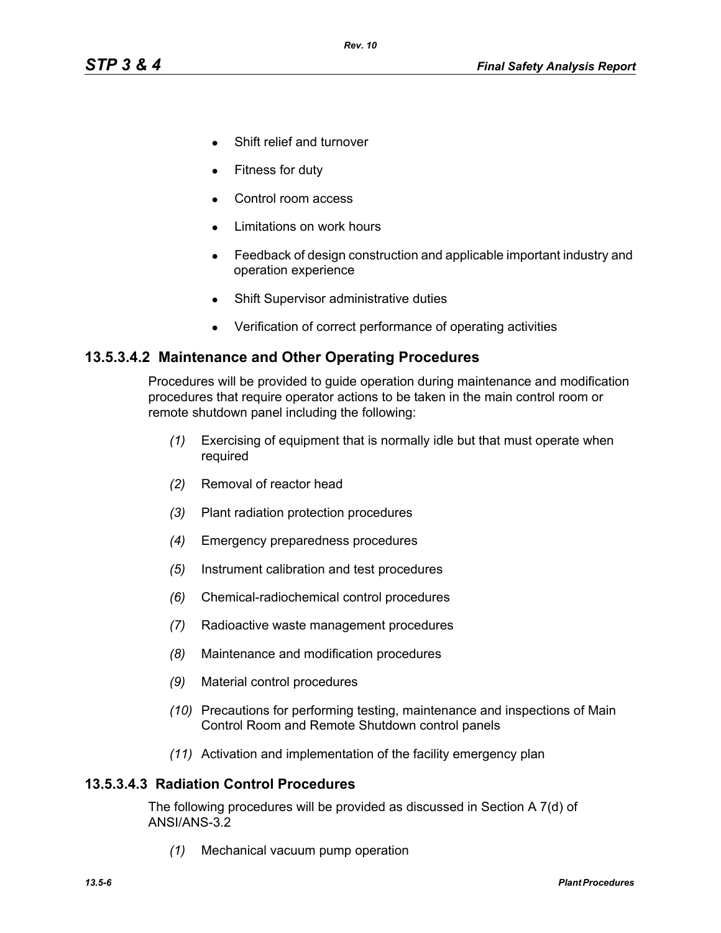- Shift relief and turnover
- Fitness for duty
- Control room access
- Limitations on work hours
- Feedback of design construction and applicable important industry and operation experience
- Shift Supervisor administrative duties
- Verification of correct performance of operating activities

### **13.5.3.4.2 Maintenance and Other Operating Procedures**

Procedures will be provided to guide operation during maintenance and modification procedures that require operator actions to be taken in the main control room or remote shutdown panel including the following:

- *(1)* Exercising of equipment that is normally idle but that must operate when required
- *(2)* Removal of reactor head
- *(3)* Plant radiation protection procedures
- *(4)* Emergency preparedness procedures
- *(5)* Instrument calibration and test procedures
- *(6)* Chemical-radiochemical control procedures
- *(7)* Radioactive waste management procedures
- *(8)* Maintenance and modification procedures
- *(9)* Material control procedures
- *(10)* Precautions for performing testing, maintenance and inspections of Main Control Room and Remote Shutdown control panels
- *(11)* Activation and implementation of the facility emergency plan

#### **13.5.3.4.3 Radiation Control Procedures**

The following procedures will be provided as discussed in Section A 7(d) of ANSI/ANS-3.2

*(1)* Mechanical vacuum pump operation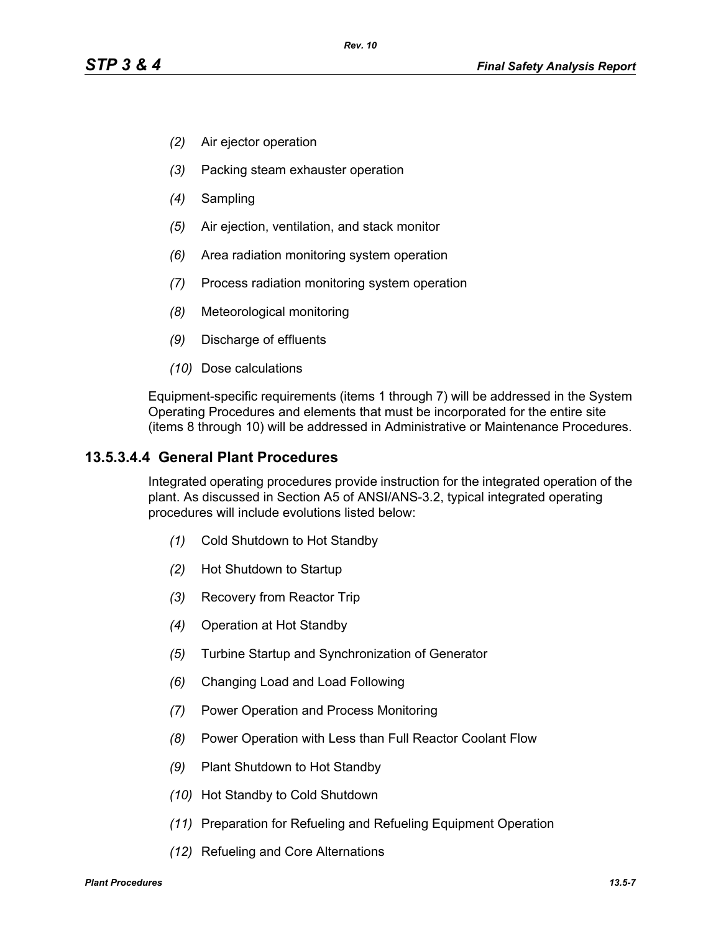- *(2)* Air ejector operation
- *(3)* Packing steam exhauster operation
- *(4)* Sampling
- *(5)* Air ejection, ventilation, and stack monitor
- *(6)* Area radiation monitoring system operation
- *(7)* Process radiation monitoring system operation
- *(8)* Meteorological monitoring
- *(9)* Discharge of effluents
- *(10)* Dose calculations

Equipment-specific requirements (items 1 through 7) will be addressed in the System Operating Procedures and elements that must be incorporated for the entire site (items 8 through 10) will be addressed in Administrative or Maintenance Procedures.

### **13.5.3.4.4 General Plant Procedures**

Integrated operating procedures provide instruction for the integrated operation of the plant. As discussed in Section A5 of ANSI/ANS-3.2, typical integrated operating procedures will include evolutions listed below:

- *(1)* Cold Shutdown to Hot Standby
- *(2)* Hot Shutdown to Startup
- *(3)* Recovery from Reactor Trip
- *(4)* Operation at Hot Standby
- *(5)* Turbine Startup and Synchronization of Generator
- *(6)* Changing Load and Load Following
- *(7)* Power Operation and Process Monitoring
- *(8)* Power Operation with Less than Full Reactor Coolant Flow
- *(9)* Plant Shutdown to Hot Standby
- *(10)* Hot Standby to Cold Shutdown
- *(11)* Preparation for Refueling and Refueling Equipment Operation
- *(12)* Refueling and Core Alternations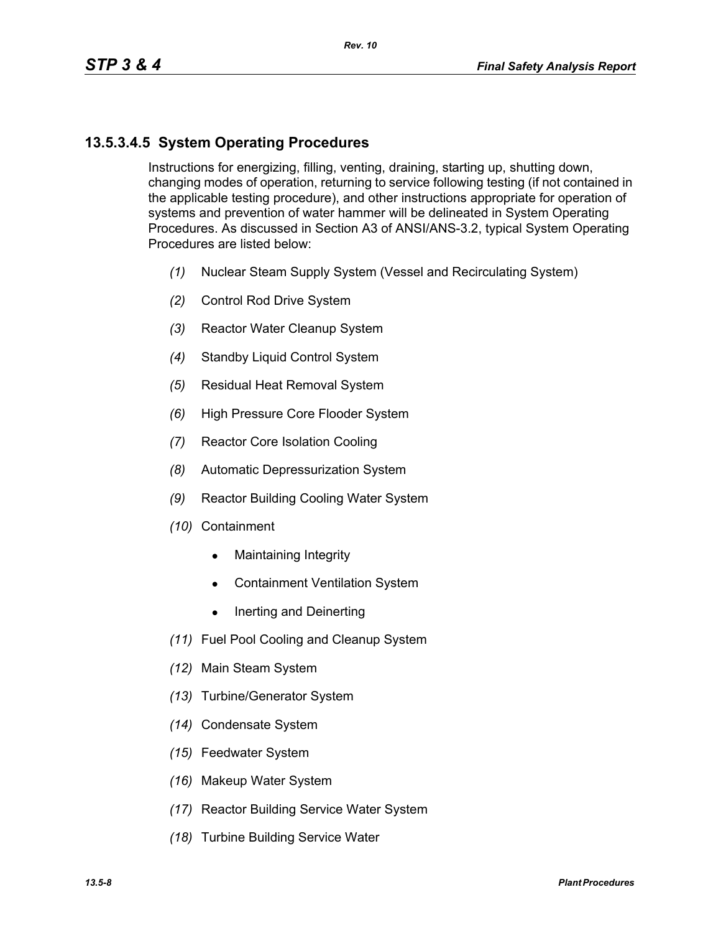# **13.5.3.4.5 System Operating Procedures**

Instructions for energizing, filling, venting, draining, starting up, shutting down, changing modes of operation, returning to service following testing (if not contained in the applicable testing procedure), and other instructions appropriate for operation of systems and prevention of water hammer will be delineated in System Operating Procedures. As discussed in Section A3 of ANSI/ANS-3.2, typical System Operating Procedures are listed below:

- *(1)* Nuclear Steam Supply System (Vessel and Recirculating System)
- *(2)* Control Rod Drive System
- *(3)* Reactor Water Cleanup System
- *(4)* Standby Liquid Control System
- *(5)* Residual Heat Removal System
- *(6)* High Pressure Core Flooder System
- *(7)* Reactor Core Isolation Cooling
- *(8)* Automatic Depressurization System
- *(9)* Reactor Building Cooling Water System
- *(10)* Containment
	- $\bullet$  Maintaining Integrity
	- Containment Ventilation System
	- $\bullet$  Inerting and Deinerting
- *(11)* Fuel Pool Cooling and Cleanup System
- *(12)* Main Steam System
- *(13)* Turbine/Generator System
- *(14)* Condensate System
- *(15)* Feedwater System
- *(16)* Makeup Water System
- *(17)* Reactor Building Service Water System
- *(18)* Turbine Building Service Water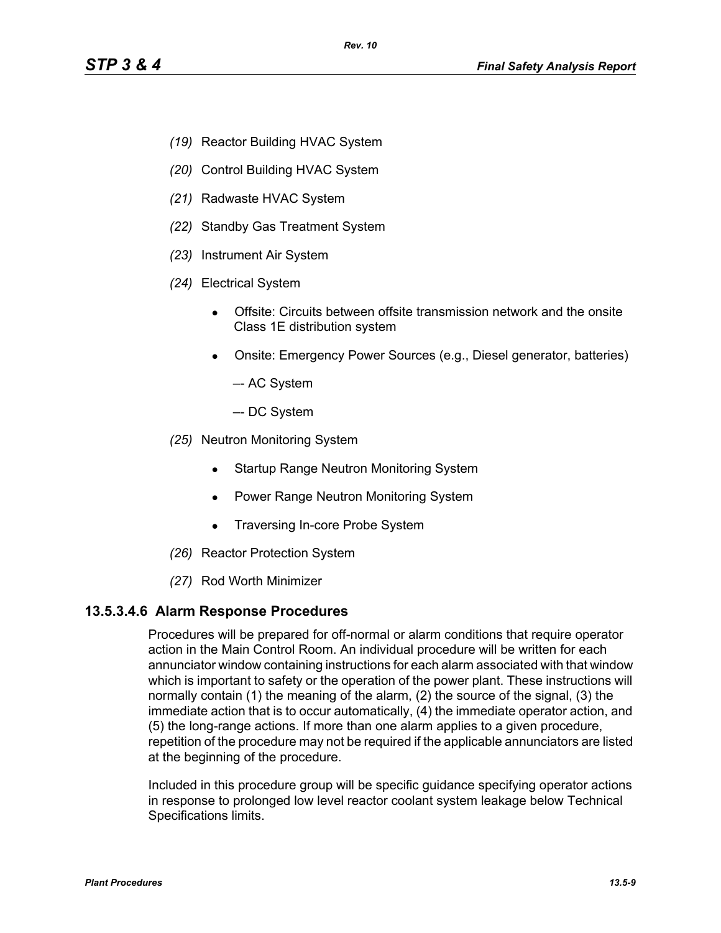- *(19)* Reactor Building HVAC System
- *(20)* Control Building HVAC System
- *(21)* Radwaste HVAC System
- *(22)* Standby Gas Treatment System
- *(23)* Instrument Air System
- *(24)* Electrical System
	- Offsite: Circuits between offsite transmission network and the onsite Class 1E distribution system
	- Onsite: Emergency Power Sources (e.g., Diesel generator, batteries)
		- –- AC System
		- –- DC System
- *(25)* Neutron Monitoring System
	- Startup Range Neutron Monitoring System
	- Power Range Neutron Monitoring System
	- Traversing In-core Probe System
- *(26)* Reactor Protection System
- *(27)* Rod Worth Minimizer

#### **13.5.3.4.6 Alarm Response Procedures**

Procedures will be prepared for off-normal or alarm conditions that require operator action in the Main Control Room. An individual procedure will be written for each annunciator window containing instructions for each alarm associated with that window which is important to safety or the operation of the power plant. These instructions will normally contain (1) the meaning of the alarm, (2) the source of the signal, (3) the immediate action that is to occur automatically, (4) the immediate operator action, and (5) the long-range actions. If more than one alarm applies to a given procedure, repetition of the procedure may not be required if the applicable annunciators are listed at the beginning of the procedure.

Included in this procedure group will be specific guidance specifying operator actions in response to prolonged low level reactor coolant system leakage below Technical Specifications limits.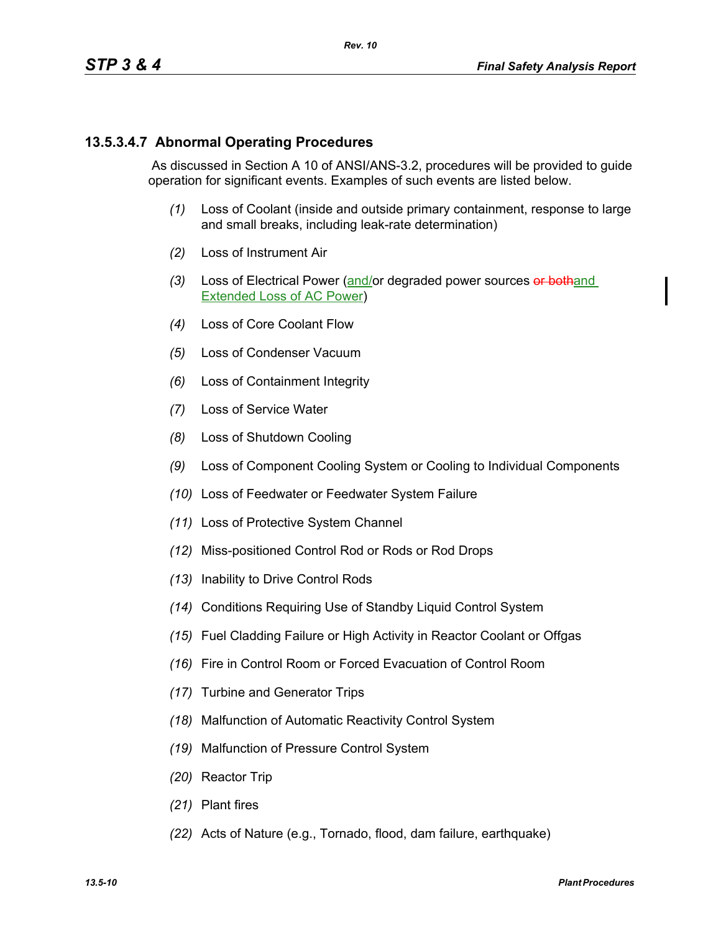## **13.5.3.4.7 Abnormal Operating Procedures**

 As discussed in Section A 10 of ANSI/ANS-3.2, procedures will be provided to guide operation for significant events. Examples of such events are listed below.

- *(1)* Loss of Coolant (inside and outside primary containment, response to large and small breaks, including leak-rate determination)
- *(2)* Loss of Instrument Air
- *(3)* Loss of Electrical Power (and/or degraded power sources or bothand Extended Loss of AC Power)
- *(4)* Loss of Core Coolant Flow
- *(5)* Loss of Condenser Vacuum
- *(6)* Loss of Containment Integrity
- *(7)* Loss of Service Water
- *(8)* Loss of Shutdown Cooling
- *(9)* Loss of Component Cooling System or Cooling to Individual Components
- *(10)* Loss of Feedwater or Feedwater System Failure
- *(11)* Loss of Protective System Channel
- *(12)* Miss-positioned Control Rod or Rods or Rod Drops
- *(13)* Inability to Drive Control Rods
- *(14)* Conditions Requiring Use of Standby Liquid Control System
- *(15)* Fuel Cladding Failure or High Activity in Reactor Coolant or Offgas
- *(16)* Fire in Control Room or Forced Evacuation of Control Room
- *(17)* Turbine and Generator Trips
- *(18)* Malfunction of Automatic Reactivity Control System
- *(19)* Malfunction of Pressure Control System
- *(20)* Reactor Trip
- *(21)* Plant fires
- *(22)* Acts of Nature (e.g., Tornado, flood, dam failure, earthquake)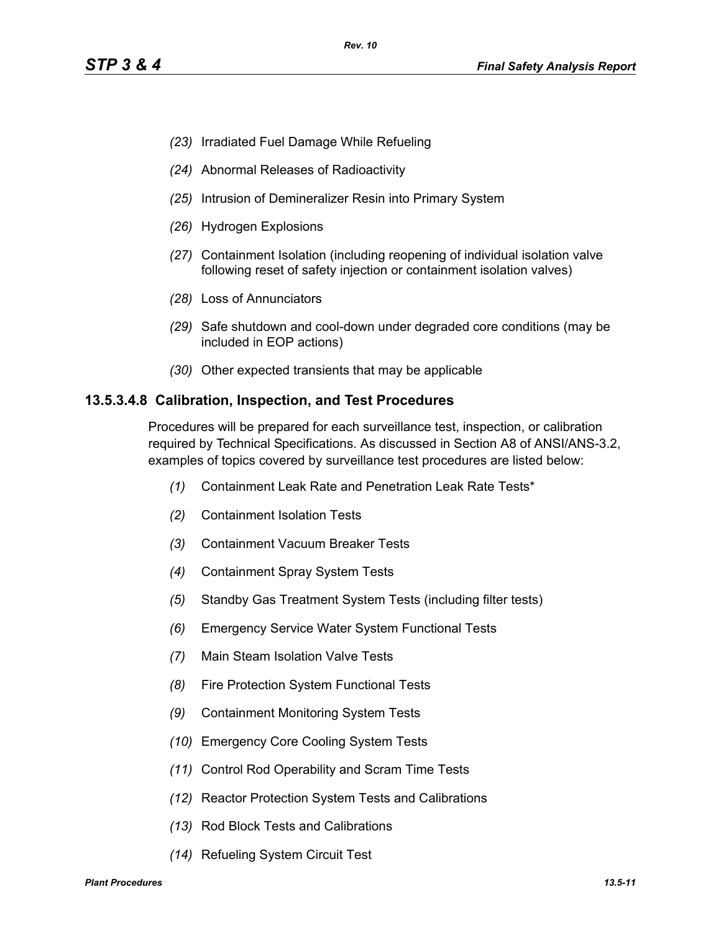- *(23)* Irradiated Fuel Damage While Refueling
- *(24)* Abnormal Releases of Radioactivity
- *(25)* Intrusion of Demineralizer Resin into Primary System
- *(26)* Hydrogen Explosions
- *(27)* Containment Isolation (including reopening of individual isolation valve following reset of safety injection or containment isolation valves)
- *(28)* Loss of Annunciators
- *(29)* Safe shutdown and cool-down under degraded core conditions (may be included in EOP actions)
- *(30)* Other expected transients that may be applicable

#### **13.5.3.4.8 Calibration, Inspection, and Test Procedures**

Procedures will be prepared for each surveillance test, inspection, or calibration required by Technical Specifications. As discussed in Section A8 of ANSI/ANS-3.2, examples of topics covered by surveillance test procedures are listed below:

- *(1)* Containment Leak Rate and Penetration Leak Rate Tests\*
- *(2)* Containment Isolation Tests
- *(3)* Containment Vacuum Breaker Tests
- *(4)* Containment Spray System Tests
- *(5)* Standby Gas Treatment System Tests (including filter tests)
- *(6)* Emergency Service Water System Functional Tests
- *(7)* Main Steam Isolation Valve Tests
- *(8)* Fire Protection System Functional Tests
- *(9)* Containment Monitoring System Tests
- *(10)* Emergency Core Cooling System Tests
- *(11)* Control Rod Operability and Scram Time Tests
- *(12)* Reactor Protection System Tests and Calibrations
- *(13)* Rod Block Tests and Calibrations
- *(14)* Refueling System Circuit Test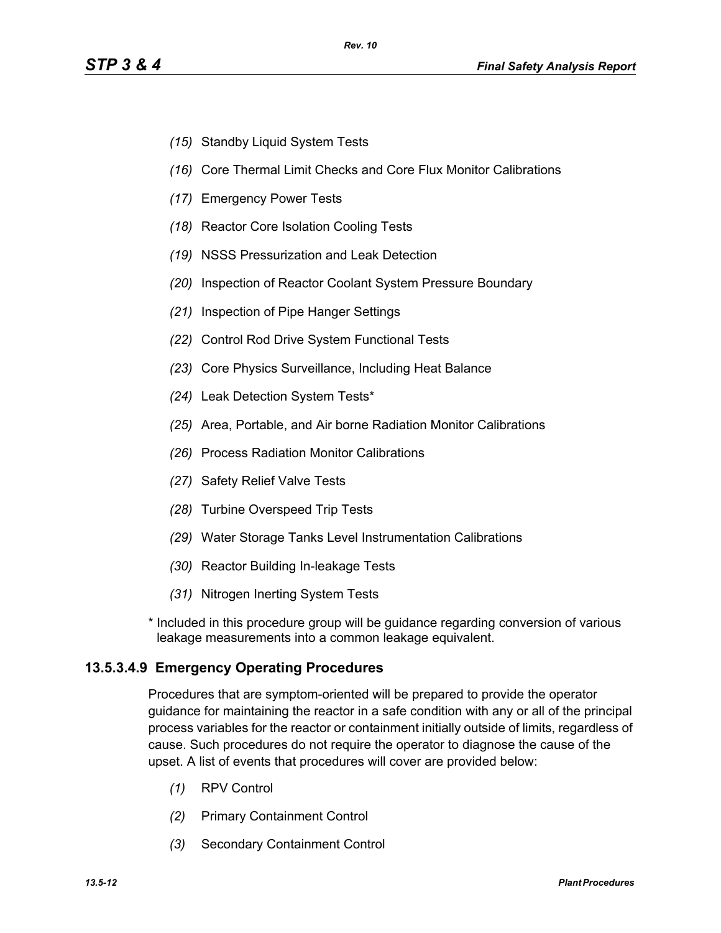- *(15)* Standby Liquid System Tests
- *(16)* Core Thermal Limit Checks and Core Flux Monitor Calibrations
- *(17)* Emergency Power Tests
- *(18)* Reactor Core Isolation Cooling Tests
- *(19)* NSSS Pressurization and Leak Detection
- *(20)* Inspection of Reactor Coolant System Pressure Boundary
- *(21)* Inspection of Pipe Hanger Settings
- *(22)* Control Rod Drive System Functional Tests
- *(23)* Core Physics Surveillance, Including Heat Balance
- *(24)* Leak Detection System Tests\*
- *(25)* Area, Portable, and Air borne Radiation Monitor Calibrations
- *(26)* Process Radiation Monitor Calibrations
- *(27)* Safety Relief Valve Tests
- *(28)* Turbine Overspeed Trip Tests
- *(29)* Water Storage Tanks Level Instrumentation Calibrations
- *(30)* Reactor Building In-leakage Tests
- *(31)* Nitrogen Inerting System Tests

\* Included in this procedure group will be guidance regarding conversion of various leakage measurements into a common leakage equivalent.

# **13.5.3.4.9 Emergency Operating Procedures**

Procedures that are symptom-oriented will be prepared to provide the operator guidance for maintaining the reactor in a safe condition with any or all of the principal process variables for the reactor or containment initially outside of limits, regardless of cause. Such procedures do not require the operator to diagnose the cause of the upset. A list of events that procedures will cover are provided below:

- *(1)* RPV Control
- *(2)* Primary Containment Control
- *(3)* Secondary Containment Control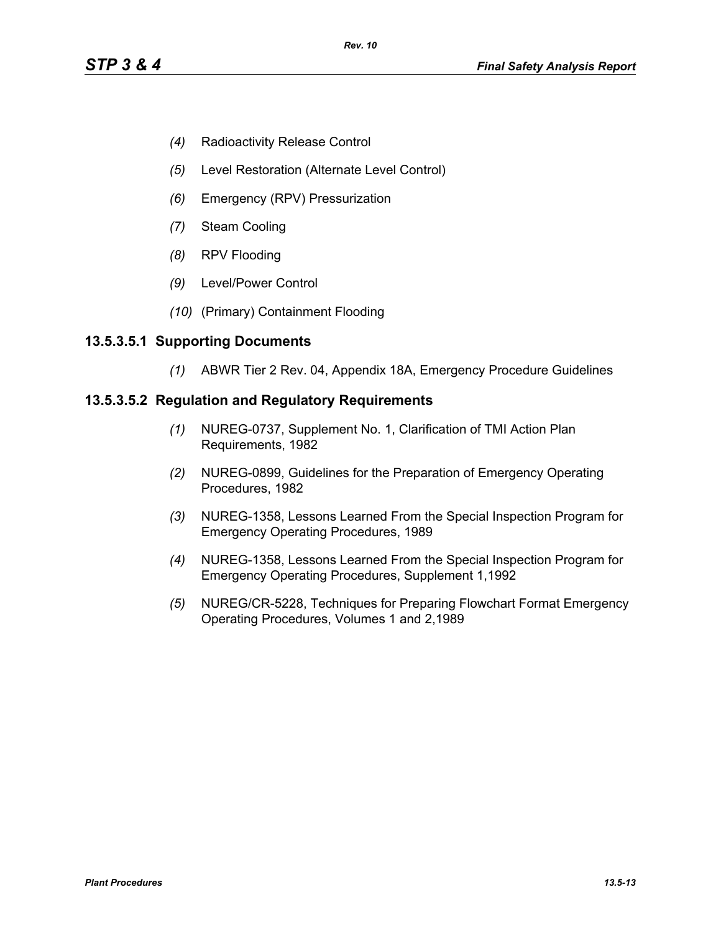- *(4)* Radioactivity Release Control
- *(5)* Level Restoration (Alternate Level Control)
- *(6)* Emergency (RPV) Pressurization
- *(7)* Steam Cooling
- *(8)* RPV Flooding
- *(9)* Level/Power Control
- *(10)* (Primary) Containment Flooding

### **13.5.3.5.1 Supporting Documents**

*(1)* ABWR Tier 2 Rev. 04, Appendix 18A, Emergency Procedure Guidelines

### **13.5.3.5.2 Regulation and Regulatory Requirements**

- *(1)* NUREG-0737, Supplement No. 1, Clarification of TMI Action Plan Requirements, 1982
- *(2)* NUREG-0899, Guidelines for the Preparation of Emergency Operating Procedures, 1982
- *(3)* NUREG-1358, Lessons Learned From the Special Inspection Program for Emergency Operating Procedures, 1989
- *(4)* NUREG-1358, Lessons Learned From the Special Inspection Program for Emergency Operating Procedures, Supplement 1,1992
- *(5)* NUREG/CR-5228, Techniques for Preparing Flowchart Format Emergency Operating Procedures, Volumes 1 and 2,1989